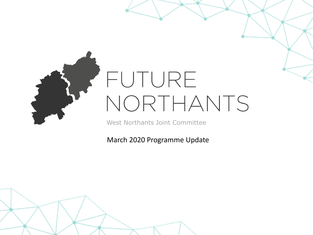

# FUTURE NORTHANTS

West Northants Joint Committee

March 2020 Programme Update

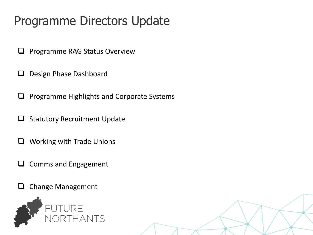### Programme Directors Update

- $\Box$  Programme RAG Status Overview
- Design Phase Dashboard
- $\Box$  Programme Highlights and Corporate Systems
- $\Box$  Statutory Recruitment Update
- **Q** Working with Trade Unions
- $\Box$  Comms and Engagement
- $\Box$  Change Management

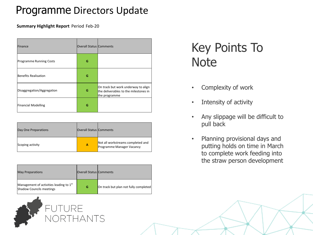#### Programme Directors Update

**Summary Highlight Report** Period Feb-20

| Finance                        | Overall Status Comments |                                                                                               |
|--------------------------------|-------------------------|-----------------------------------------------------------------------------------------------|
| <b>Programme Running Costs</b> | G                       |                                                                                               |
| Benefits Realisation           | G                       |                                                                                               |
| Disaggregation/Aggregation     | G                       | On track but work underway to align<br>the deliverables to the milestones in<br>the programme |
| <b>Financial Modelling</b>     | G                       |                                                                                               |

| Day One Preparations | Overall Status Comments |                                                                |
|----------------------|-------------------------|----------------------------------------------------------------|
| Scoping activity     | А                       | Not all workstreams completed and<br>Programme Manager Vacancy |

| <b>May Preparations</b>                                                         | Overall Status Comments |                                       |
|---------------------------------------------------------------------------------|-------------------------|---------------------------------------|
| Management of activities leading to 1 <sup>st</sup><br>Shadow Councils meetings | G                       | On track but plan not fully completed |



Key Points To **Note** 

- Complexity of work
- Intensity of activity
- Any slippage will be difficult to pull back
- Planning provisional days and putting holds on time in March to complete work feeding into the straw person development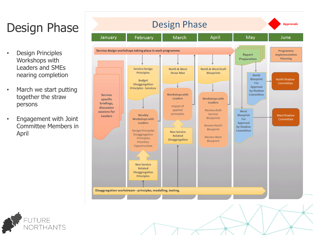### Design Phase

- Design Principles Workshops with Leaders and SMEs nearing completion
- March we start putting together the straw persons
- Engagement with Joint Committee Members in April



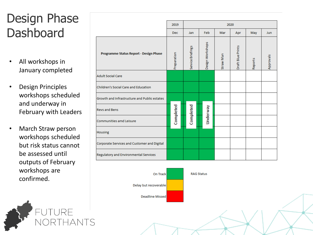### Design Phase **Dashboard**

- All workshops in January completed
- Design Principles workshops scheduled and underway in February with Leaders
- March Straw person workshops scheduled but risk status cannot be assessed until outputs of February workshops are confirmed.



|                                              | 2019        | 2020              |                  |           |                   |         |            |
|----------------------------------------------|-------------|-------------------|------------------|-----------|-------------------|---------|------------|
|                                              | <b>Dec</b>  | Jan               | Feb              | Mar       | Apr               | May     | <b>Jun</b> |
| Programme Status Report - Design Phase       | Preparation | Service Briefings | Design Workshops | Straw Man | Draft Blue Prints | Reports | Approvals  |
| <b>Adult Social Care</b>                     |             |                   |                  |           |                   |         |            |
| Children's Social Care and Education         |             |                   |                  |           |                   |         |            |
| Growth and Infrastructure and Public estates |             |                   |                  |           |                   |         |            |
| <b>Revs and Bens</b>                         | Completed   | Completed         | <b>Underway</b>  |           |                   |         |            |
| Communities amd Leisure                      |             |                   |                  |           |                   |         |            |
| <b>Housing</b>                               |             |                   |                  |           |                   |         |            |
| Corporate Services and Customer and Digital  |             |                   |                  |           |                   |         |            |
| Regulatory and Environmental Services        |             |                   |                  |           |                   |         |            |

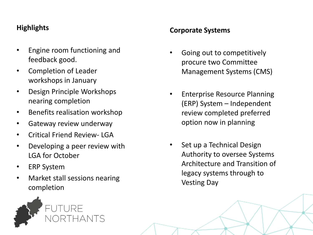#### **Highlights**

- Engine room functioning and feedback good.
- Completion of Leader workshops in January
- Design Principle Workshops nearing completion
- Benefits realisation workshop
- Gateway review underway
- Critical Friend Review- LGA
- Developing a peer review with LGA for October
- ERP System
- Market stall sessions nearing completion



#### **Corporate Systems**

- Going out to competitively procure two Committee Management Systems (CMS)
- Enterprise Resource Planning (ERP) System – Independent review completed preferred option now in planning
- Set up a Technical Design Authority to oversee Systems Architecture and Transition of legacy systems through to Vesting Day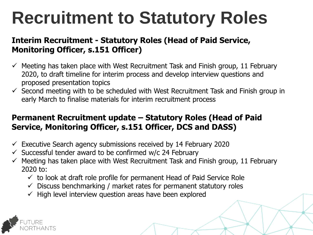# **Recruitment to Statutory Roles**

#### **Interim Recruitment - Statutory Roles (Head of Paid Service, Monitoring Officer, s.151 Officer)**

- $\checkmark$  Meeting has taken place with West Recruitment Task and Finish group, 11 February 2020, to draft timeline for interim process and develop interview questions and proposed presentation topics
- $\checkmark$  Second meeting with to be scheduled with West Recruitment Task and Finish group in early March to finalise materials for interim recruitment process

#### **Permanent Recruitment update – Statutory Roles (Head of Paid Service, Monitoring Officer, s.151 Officer, DCS and DASS)**

- $\checkmark$  Executive Search agency submissions received by 14 February 2020
- $\checkmark$  Successful tender award to be confirmed w/c 24 February
- $\checkmark$  Meeting has taken place with West Recruitment Task and Finish group, 11 February 2020 to:
	- $\checkmark$  to look at draft role profile for permanent Head of Paid Service Role
	- $\checkmark$  Discuss benchmarking / market rates for permanent statutory roles
	- $\checkmark$  High level interview question areas have been explored

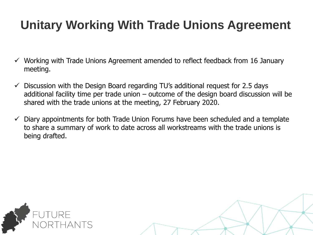### **Unitary Working With Trade Unions Agreement**

- $\checkmark$  Working with Trade Unions Agreement amended to reflect feedback from 16 January meeting.
- $\checkmark$  Discussion with the Design Board regarding TU's additional request for 2.5 days additional facility time per trade union – outcome of the design board discussion will be shared with the trade unions at the meeting, 27 February 2020.
- $\checkmark$  Diary appointments for both Trade Union Forums have been scheduled and a template to share a summary of work to date across all workstreams with the trade unions is being drafted.



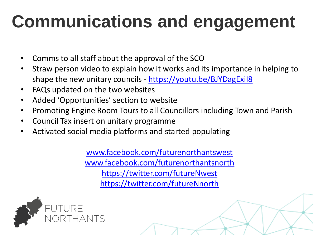# **Communications and engagement**

- Comms to all staff about the approval of the SCO
- Straw person video to explain how it works and its importance in helping to shape the new unitary councils - https://youtu.be/BJYDagExil8
- FAQs updated on the two websites
- Added 'Opportunities' section to website
- Promoting Engine Room Tours to all Councillors including Town and Parish
- Council Tax insert on unitary programme
- Activated social media platforms and started populating

[www.facebook.com/futurenorthantswest](http://www.facebook.com/futurenorthantswest) [www.facebook.com/futurenorthantsnorth](http://www.facebook.com/futurenorthantsnorth) <https://twitter.com/futureNwest> <https://twitter.com/futureNnorth>

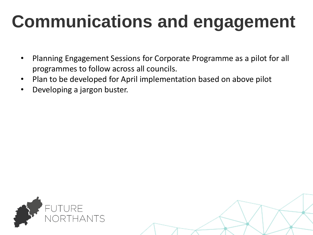# **Communications and engagement**

- Planning Engagement Sessions for Corporate Programme as a pilot for all programmes to follow across all councils.
- Plan to be developed for April implementation based on above pilot
- Developing a jargon buster.

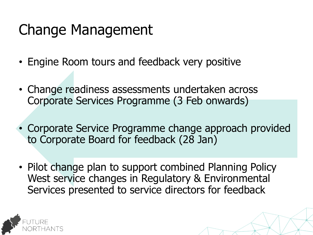## Change Management

- Engine Room tours and feedback very positive
- Change readiness assessments undertaken across Corporate Services Programme (3 Feb onwards)
- Corporate Service Programme change approach provided to Corporate Board for feedback (28 Jan)
- Pilot change plan to support combined Planning Policy West service changes in Regulatory & Environmental Services presented to service directors for feedback

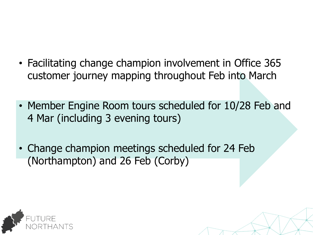- Facilitating change champion involvement in Office 365 customer journey mapping throughout Feb into March
- Member Engine Room tours scheduled for 10/28 Feb and 4 Mar (including 3 evening tours)
- Change champion meetings scheduled for 24 Feb (Northampton) and 26 Feb (Corby)

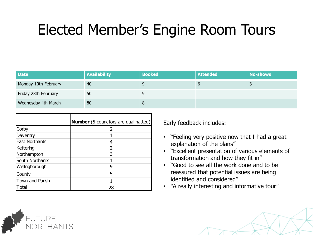## Elected Member's Engine Room Tours

| <b>Date</b>          | <b>Availability</b> | <b>Booked</b> | <b>Attended</b> | No-shows |
|----------------------|---------------------|---------------|-----------------|----------|
| Monday 10th February | 40                  |               |                 |          |
| Friday 28th February | 50                  |               |                 |          |
| Wednesday 4th March  | 80                  |               |                 |          |

|                       | <b>Number</b> (5 councillors are dual-hatted) |
|-----------------------|-----------------------------------------------|
| Corby                 |                                               |
| Daventry              |                                               |
| <b>East Northants</b> |                                               |
| Kettering             | 2                                             |
| Northampton           | 3                                             |
| South Northants       |                                               |
| Wellingborough        | g                                             |
| County                | 5                                             |
| Town and Parish       |                                               |
| `otal                 | 28                                            |

Early feedback includes:

- "Feeling very positive now that I had a great explanation of the plans"
- "Excellent presentation of various elements of transformation and how they fit in"
- "Good to see all the work done and to be reassured that potential issues are being identified and considered"
- "A really interesting and informative tour"

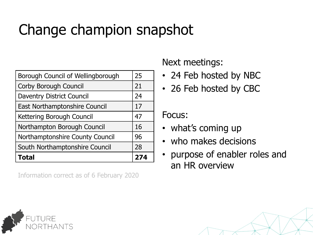## Change champion snapshot

| South Northamptonshire Council    | 96<br>28 |
|-----------------------------------|----------|
|                                   |          |
| Northamptonshire County Council   |          |
| Northampton Borough Council       | 16       |
| Kettering Borough Council         | 47       |
| East Northamptonshire Council     | 17       |
| <b>Daventry District Council</b>  | 24       |
| <b>Corby Borough Council</b>      | 21       |
| Borough Council of Wellingborough | 25       |

Information correct as of 6 February 2020

#### Next meetings:

- 24 Feb hosted by NBC
- 26 Feb hosted by CBC

Focus:

- what's coming up
- who makes decisions
- purpose of enabler roles and an HR overview